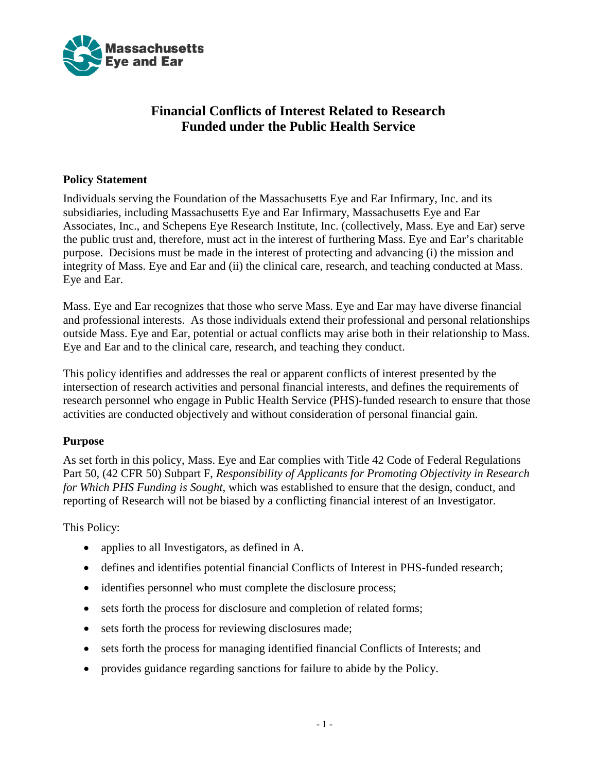

# **Financial Conflicts of Interest Related to Research Funded under the Public Health Service**

### **Policy Statement**

Individuals serving the Foundation of the Massachusetts Eye and Ear Infirmary, Inc. and its subsidiaries, including Massachusetts Eye and Ear Infirmary, Massachusetts Eye and Ear Associates, Inc., and Schepens Eye Research Institute, Inc. (collectively, Mass. Eye and Ear) serve the public trust and, therefore, must act in the interest of furthering Mass. Eye and Ear's charitable purpose. Decisions must be made in the interest of protecting and advancing (i) the mission and integrity of Mass. Eye and Ear and (ii) the clinical care, research, and teaching conducted at Mass. Eye and Ear.

Mass. Eye and Ear recognizes that those who serve Mass. Eye and Ear may have diverse financial and professional interests. As those individuals extend their professional and personal relationships outside Mass. Eye and Ear, potential or actual conflicts may arise both in their relationship to Mass. Eye and Ear and to the clinical care, research, and teaching they conduct.

This policy identifies and addresses the real or apparent conflicts of interest presented by the intersection of research activities and personal financial interests, and defines the requirements of research personnel who engage in Public Health Service (PHS)-funded research to ensure that those activities are conducted objectively and without consideration of personal financial gain.

#### **Purpose**

As set forth in this policy, Mass. Eye and Ear complies with Title 42 Code of Federal Regulations Part 50, (42 CFR 50) Subpart F, *Responsibility of Applicants for Promoting Objectivity in Research for Which PHS Funding is Sought*, which was established to ensure that the design, conduct, and reporting of Research will not be biased by a conflicting financial interest of an Investigator.

This Policy:

- applies to all Investigators, as defined in A.
- defines and identifies potential financial Conflicts of Interest in PHS-funded research;
- identifies personnel who must complete the disclosure process;
- sets forth the process for disclosure and completion of related forms;
- sets forth the process for reviewing disclosures made;
- sets forth the process for managing identified financial Conflicts of Interests; and
- provides guidance regarding sanctions for failure to abide by the Policy.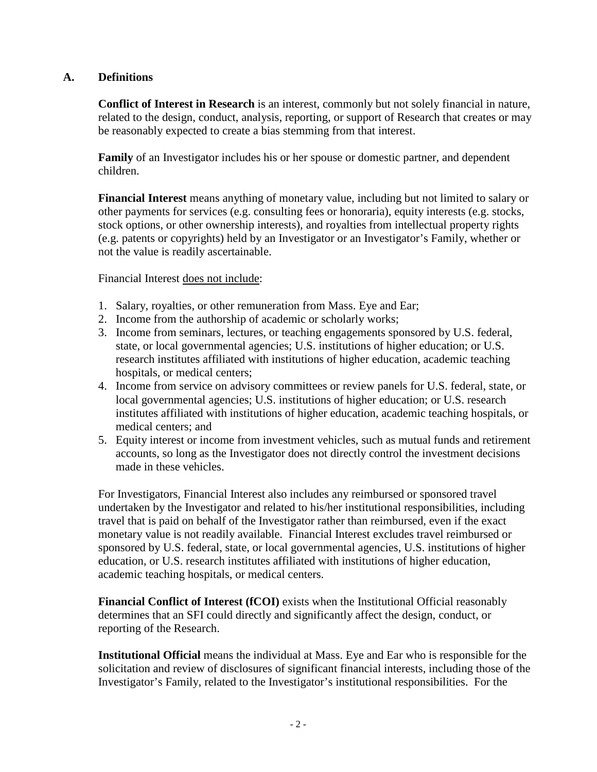# **A. Definitions**

**Conflict of Interest in Research** is an interest, commonly but not solely financial in nature, related to the design, conduct, analysis, reporting, or support of Research that creates or may be reasonably expected to create a bias stemming from that interest.

**Family** of an Investigator includes his or her spouse or domestic partner, and dependent children.

**Financial Interest** means anything of monetary value, including but not limited to salary or other payments for services (e.g. consulting fees or honoraria), equity interests (e.g. stocks, stock options, or other ownership interests), and royalties from intellectual property rights (e.g. patents or copyrights) held by an Investigator or an Investigator's Family, whether or not the value is readily ascertainable.

Financial Interest does not include:

- 1. Salary, royalties, or other remuneration from Mass. Eye and Ear;
- 2. Income from the authorship of academic or scholarly works;
- 3. Income from seminars, lectures, or teaching engagements sponsored by U.S. federal, state, or local governmental agencies; U.S. institutions of higher education; or U.S. research institutes affiliated with institutions of higher education, academic teaching hospitals, or medical centers;
- 4. Income from service on advisory committees or review panels for U.S. federal, state, or local governmental agencies; U.S. institutions of higher education; or U.S. research institutes affiliated with institutions of higher education, academic teaching hospitals, or medical centers; and
- 5. Equity interest or income from investment vehicles, such as mutual funds and retirement accounts, so long as the Investigator does not directly control the investment decisions made in these vehicles.

For Investigators, Financial Interest also includes any reimbursed or sponsored travel undertaken by the Investigator and related to his/her institutional responsibilities, including travel that is paid on behalf of the Investigator rather than reimbursed, even if the exact monetary value is not readily available. Financial Interest excludes travel reimbursed or sponsored by U.S. federal, state, or local governmental agencies, U.S. institutions of higher education, or U.S. research institutes affiliated with institutions of higher education, academic teaching hospitals, or medical centers.

**Financial Conflict of Interest (fCOI)** exists when the Institutional Official reasonably determines that an SFI could directly and significantly affect the design, conduct, or reporting of the Research.

**Institutional Official** means the individual at Mass. Eye and Ear who is responsible for the solicitation and review of disclosures of significant financial interests, including those of the Investigator's Family, related to the Investigator's institutional responsibilities. For the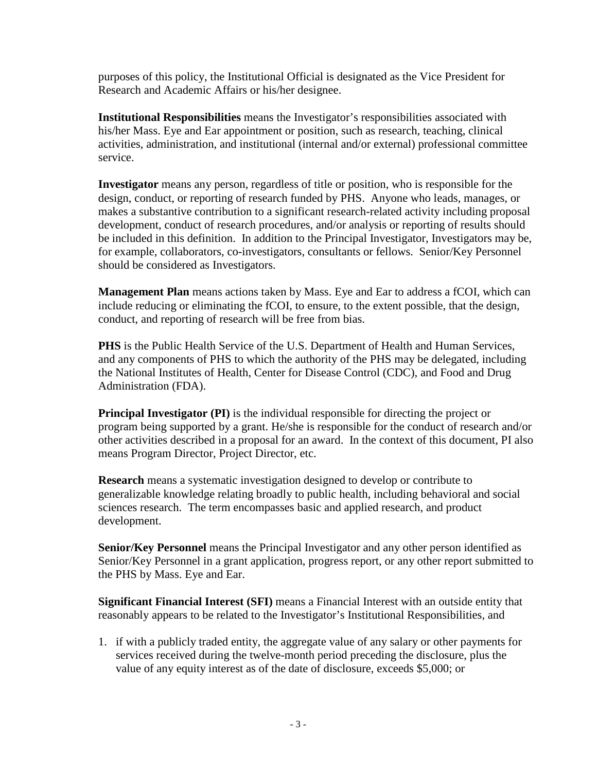purposes of this policy, the Institutional Official is designated as the Vice President for Research and Academic Affairs or his/her designee.

**Institutional Responsibilities** means the Investigator's responsibilities associated with his/her Mass. Eye and Ear appointment or position, such as research, teaching, clinical activities, administration, and institutional (internal and/or external) professional committee service.

**Investigator** means any person, regardless of title or position, who is responsible for the design, conduct, or reporting of research funded by PHS. Anyone who leads, manages, or makes a substantive contribution to a significant research-related activity including proposal development, conduct of research procedures, and/or analysis or reporting of results should be included in this definition. In addition to the Principal Investigator, Investigators may be, for example, collaborators, co-investigators, consultants or fellows. Senior/Key Personnel should be considered as Investigators.

**Management Plan** means actions taken by Mass. Eye and Ear to address a fCOI, which can include reducing or eliminating the fCOI, to ensure, to the extent possible, that the design, conduct, and reporting of research will be free from bias.

**PHS** is the Public Health Service of the U.S. Department of Health and Human Services, and any components of PHS to which the authority of the PHS may be delegated, including the National Institutes of Health, Center for Disease Control (CDC), and Food and Drug Administration (FDA).

**Principal Investigator (PI)** is the individual responsible for directing the project or program being supported by a grant. He/she is responsible for the conduct of research and/or other activities described in a proposal for an award. In the context of this document, PI also means Program Director, Project Director, etc.

**Research** means a systematic investigation designed to develop or contribute to generalizable knowledge relating broadly to public health, including behavioral and social sciences research. The term encompasses basic and applied research, and product development.

**Senior/Key Personnel** means the Principal Investigator and any other person identified as Senior/Key Personnel in a grant application, progress report, or any other report submitted to the PHS by Mass. Eye and Ear.

**Significant Financial Interest (SFI)** means a Financial Interest with an outside entity that reasonably appears to be related to the Investigator's Institutional Responsibilities, and

1. if with a publicly traded entity, the aggregate value of any salary or other payments for services received during the twelve-month period preceding the disclosure, plus the value of any equity interest as of the date of disclosure, exceeds \$5,000; or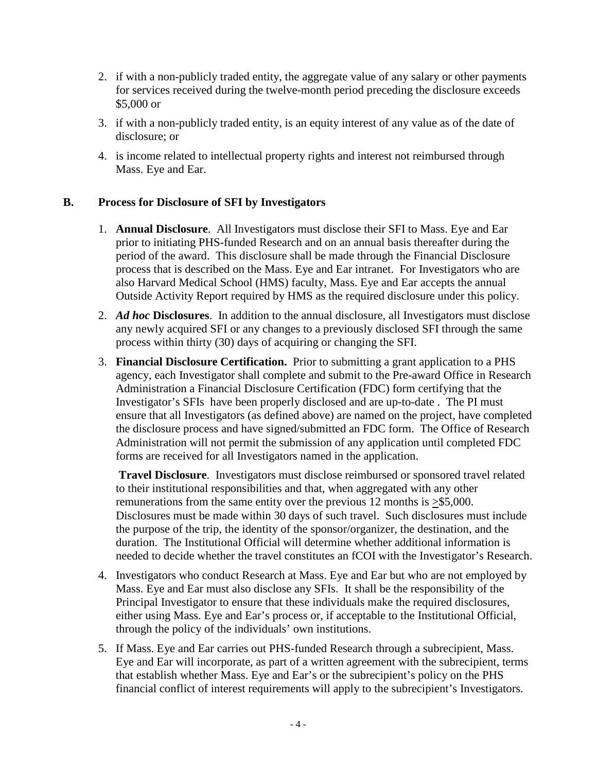- 2. if with a non-publicly traded entity, the aggregate value of any salary or other payments for services received during the twelve-month period preceding the disclosure exceeds \$5,000 or
- 3. if with a non-publicly traded entity, is an equity interest of any value as of the date of disclosure; or
- 4. is income related to intellectual property rights and interest not reimbursed through Mass. Eye and Ear.

# **B. Process for Disclosure of SFI by Investigators**

- 1. **Annual Disclosure**. All Investigators must disclose their SFI to Mass. Eye and Ear prior to initiating PHS-funded Research and on an annual basis thereafter during the period of the award. This disclosure shall be made through the Financial Disclosure process that is described on the Mass. Eye and Ear intranet. For Investigators who are also Harvard Medical School (HMS) faculty, Mass. Eye and Ear accepts the annual Outside Activity Report required by HMS as the required disclosure under this policy.
- 2. *Ad hoc* **Disclosures**. In addition to the annual disclosure, all Investigators must disclose any newly acquired SFI or any changes to a previously disclosed SFI through the same process within thirty (30) days of acquiring or changing the SFI.
- 3. **Financial Disclosure Certification.** Prior to submitting a grant application to a PHS agency, each Investigator shall complete and submit to the Pre-award Office in Research Administration a Financial Disclosure Certification (FDC) form certifying that the Investigator's SFIs have been properly disclosed and are up-to-date . The PI must ensure that all Investigators (as defined above) are named on the project, have completed the disclosure process and have signed/submitted an FDC form. The Office of Research Administration will not permit the submission of any application until completed FDC forms are received for all Investigators named in the application.

**Travel Disclosure**. Investigators must disclose reimbursed or sponsored travel related to their institutional responsibilities and that, when aggregated with any other remunerations from the same entity over the previous 12 months is  $\geq$ \$5,000. Disclosures must be made within 30 days of such travel. Such disclosures must include the purpose of the trip, the identity of the sponsor/organizer, the destination, and the duration. The Institutional Official will determine whether additional information is needed to decide whether the travel constitutes an fCOI with the Investigator's Research.

- 4. Investigators who conduct Research at Mass. Eye and Ear but who are not employed by Mass. Eye and Ear must also disclose any SFIs. It shall be the responsibility of the Principal Investigator to ensure that these individuals make the required disclosures, either using Mass. Eye and Ear's process or, if acceptable to the Institutional Official, through the policy of the individuals' own institutions.
- 5. If Mass. Eye and Ear carries out PHS-funded Research through a subrecipient, Mass. Eye and Ear will incorporate, as part of a written agreement with the subrecipient, terms that establish whether Mass. Eye and Ear's or the subrecipient's policy on the PHS financial conflict of interest requirements will apply to the subrecipient's Investigators.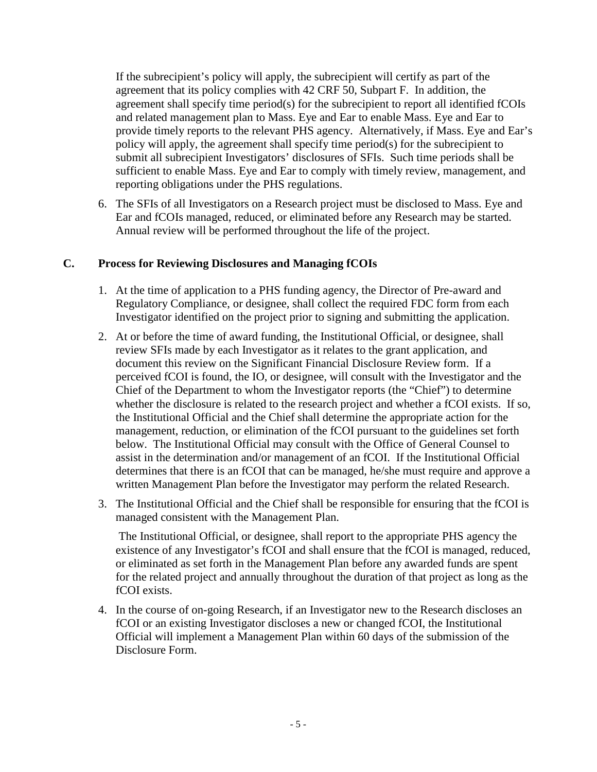If the subrecipient's policy will apply, the subrecipient will certify as part of the agreement that its policy complies with 42 CRF 50, Subpart F. In addition, the agreement shall specify time period(s) for the subrecipient to report all identified fCOIs and related management plan to Mass. Eye and Ear to enable Mass. Eye and Ear to provide timely reports to the relevant PHS agency. Alternatively, if Mass. Eye and Ear's policy will apply, the agreement shall specify time period(s) for the subrecipient to submit all subrecipient Investigators' disclosures of SFIs. Such time periods shall be sufficient to enable Mass. Eye and Ear to comply with timely review, management, and reporting obligations under the PHS regulations.

6. The SFIs of all Investigators on a Research project must be disclosed to Mass. Eye and Ear and fCOIs managed, reduced, or eliminated before any Research may be started. Annual review will be performed throughout the life of the project.

### **C. Process for Reviewing Disclosures and Managing fCOIs**

- 1. At the time of application to a PHS funding agency, the Director of Pre-award and Regulatory Compliance, or designee, shall collect the required FDC form from each Investigator identified on the project prior to signing and submitting the application.
- 2. At or before the time of award funding, the Institutional Official, or designee, shall review SFIs made by each Investigator as it relates to the grant application, and document this review on the Significant Financial Disclosure Review form. If a perceived fCOI is found, the IO, or designee, will consult with the Investigator and the Chief of the Department to whom the Investigator reports (the "Chief") to determine whether the disclosure is related to the research project and whether a fCOI exists. If so, the Institutional Official and the Chief shall determine the appropriate action for the management, reduction, or elimination of the fCOI pursuant to the guidelines set forth below. The Institutional Official may consult with the Office of General Counsel to assist in the determination and/or management of an fCOI. If the Institutional Official determines that there is an fCOI that can be managed, he/she must require and approve a written Management Plan before the Investigator may perform the related Research.
- 3. The Institutional Official and the Chief shall be responsible for ensuring that the fCOI is managed consistent with the Management Plan.

The Institutional Official, or designee, shall report to the appropriate PHS agency the existence of any Investigator's fCOI and shall ensure that the fCOI is managed, reduced, or eliminated as set forth in the Management Plan before any awarded funds are spent for the related project and annually throughout the duration of that project as long as the fCOI exists.

4. In the course of on-going Research, if an Investigator new to the Research discloses an fCOI or an existing Investigator discloses a new or changed fCOI, the Institutional Official will implement a Management Plan within 60 days of the submission of the Disclosure Form.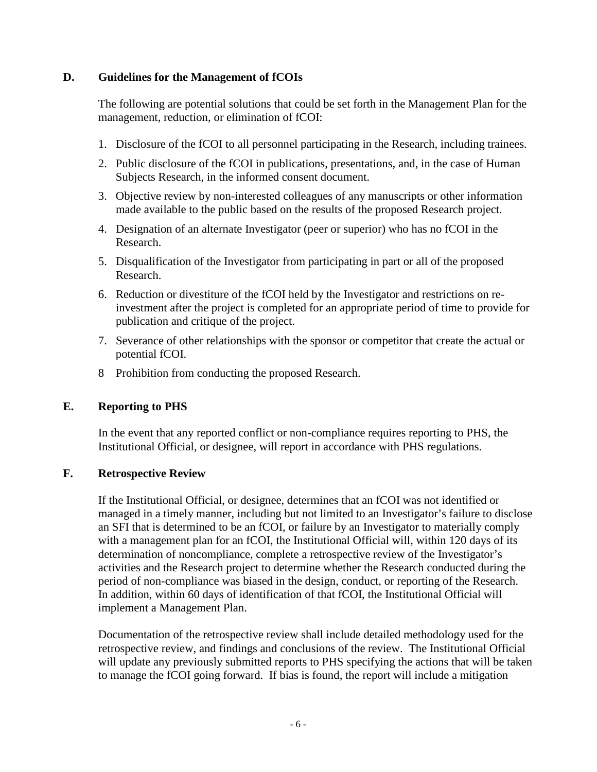### **D. Guidelines for the Management of fCOIs**

The following are potential solutions that could be set forth in the Management Plan for the management, reduction, or elimination of fCOI:

- 1. Disclosure of the fCOI to all personnel participating in the Research, including trainees.
- 2. Public disclosure of the fCOI in publications, presentations, and, in the case of Human Subjects Research, in the informed consent document.
- 3. Objective review by non-interested colleagues of any manuscripts or other information made available to the public based on the results of the proposed Research project.
- 4. Designation of an alternate Investigator (peer or superior) who has no fCOI in the Research.
- 5. Disqualification of the Investigator from participating in part or all of the proposed Research.
- 6. Reduction or divestiture of the fCOI held by the Investigator and restrictions on reinvestment after the project is completed for an appropriate period of time to provide for publication and critique of the project.
- 7. Severance of other relationships with the sponsor or competitor that create the actual or potential fCOI.
- 8 Prohibition from conducting the proposed Research.

#### **E. Reporting to PHS**

In the event that any reported conflict or non-compliance requires reporting to PHS, the Institutional Official, or designee, will report in accordance with PHS regulations.

### **F. Retrospective Review**

If the Institutional Official, or designee, determines that an fCOI was not identified or managed in a timely manner, including but not limited to an Investigator's failure to disclose an SFI that is determined to be an fCOI, or failure by an Investigator to materially comply with a management plan for an fCOI, the Institutional Official will, within 120 days of its determination of noncompliance, complete a retrospective review of the Investigator's activities and the Research project to determine whether the Research conducted during the period of non-compliance was biased in the design, conduct, or reporting of the Research. In addition, within 60 days of identification of that fCOI, the Institutional Official will implement a Management Plan.

Documentation of the retrospective review shall include detailed methodology used for the retrospective review, and findings and conclusions of the review. The Institutional Official will update any previously submitted reports to PHS specifying the actions that will be taken to manage the fCOI going forward. If bias is found, the report will include a mitigation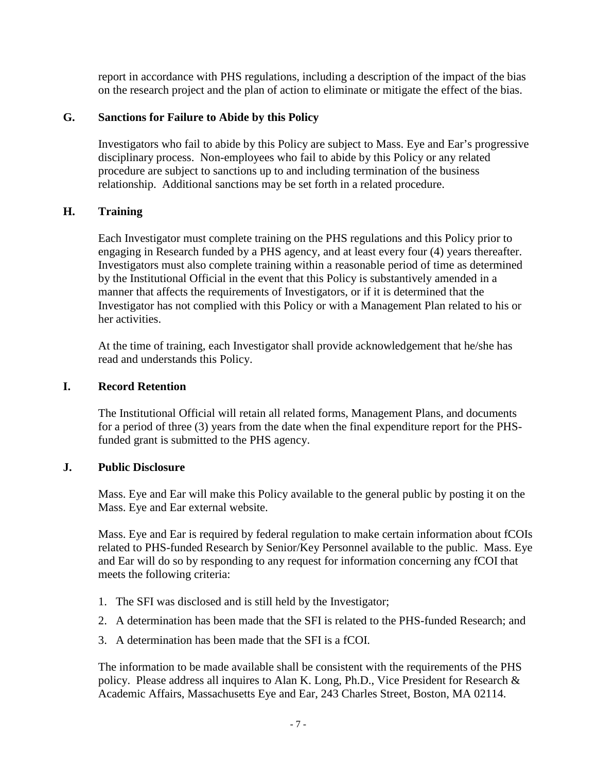report in accordance with PHS regulations, including a description of the impact of the bias on the research project and the plan of action to eliminate or mitigate the effect of the bias.

# **G. Sanctions for Failure to Abide by this Policy**

Investigators who fail to abide by this Policy are subject to Mass. Eye and Ear's progressive disciplinary process. Non-employees who fail to abide by this Policy or any related procedure are subject to sanctions up to and including termination of the business relationship. Additional sanctions may be set forth in a related procedure.

# **H. Training**

Each Investigator must complete training on the PHS regulations and this Policy prior to engaging in Research funded by a PHS agency, and at least every four (4) years thereafter. Investigators must also complete training within a reasonable period of time as determined by the Institutional Official in the event that this Policy is substantively amended in a manner that affects the requirements of Investigators, or if it is determined that the Investigator has not complied with this Policy or with a Management Plan related to his or her activities.

At the time of training, each Investigator shall provide acknowledgement that he/she has read and understands this Policy.

## **I. Record Retention**

The Institutional Official will retain all related forms, Management Plans, and documents for a period of three (3) years from the date when the final expenditure report for the PHSfunded grant is submitted to the PHS agency.

### **J. Public Disclosure**

Mass. Eye and Ear will make this Policy available to the general public by posting it on the Mass. Eye and Ear external website.

Mass. Eye and Ear is required by federal regulation to make certain information about fCOIs related to PHS-funded Research by Senior/Key Personnel available to the public. Mass. Eye and Ear will do so by responding to any request for information concerning any fCOI that meets the following criteria:

- 1. The SFI was disclosed and is still held by the Investigator;
- 2. A determination has been made that the SFI is related to the PHS-funded Research; and
- 3. A determination has been made that the SFI is a fCOI.

The information to be made available shall be consistent with the requirements of the PHS policy. Please address all inquires to Alan K. Long, Ph.D., Vice President for Research & Academic Affairs, Massachusetts Eye and Ear, 243 Charles Street, Boston, MA 02114.